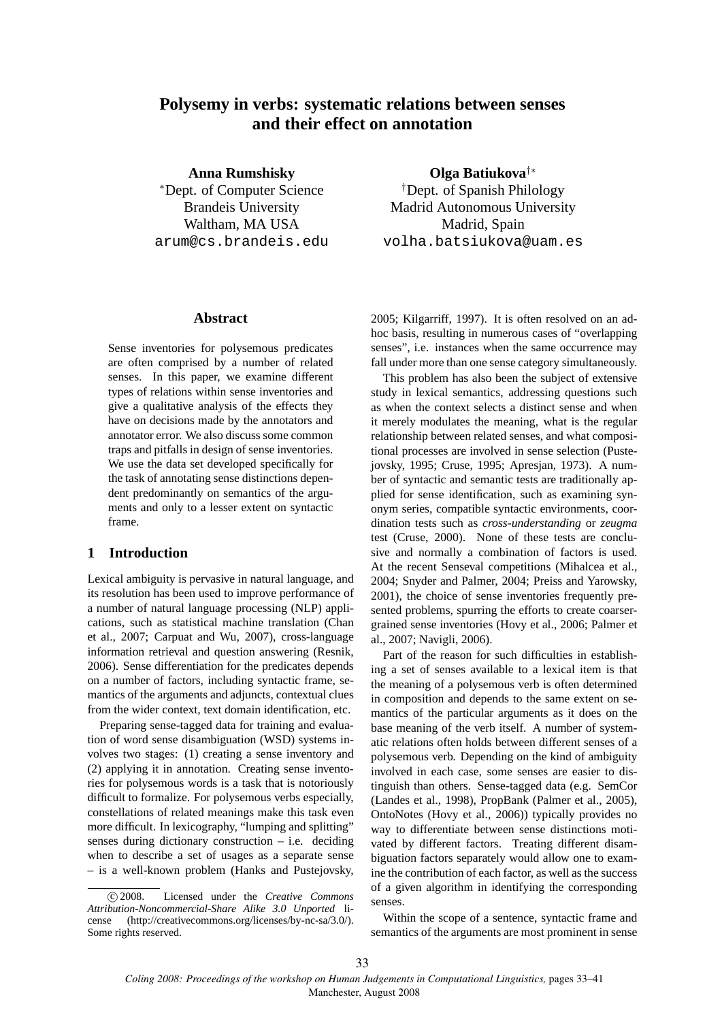# **Polysemy in verbs: systematic relations between senses and their effect on annotation**

**Anna Rumshisky**

<sup>∗</sup>Dept. of Computer Science Brandeis University Waltham, MA USA arum@cs.brandeis.edu

#### **Abstract**

Sense inventories for polysemous predicates are often comprised by a number of related senses. In this paper, we examine different types of relations within sense inventories and give a qualitative analysis of the effects they have on decisions made by the annotators and annotator error. We also discuss some common traps and pitfalls in design of sense inventories. We use the data set developed specifically for the task of annotating sense distinctions dependent predominantly on semantics of the arguments and only to a lesser extent on syntactic frame.

# **1 Introduction**

Lexical ambiguity is pervasive in natural language, and its resolution has been used to improve performance of a number of natural language processing (NLP) applications, such as statistical machine translation (Chan et al., 2007; Carpuat and Wu, 2007), cross-language information retrieval and question answering (Resnik, 2006). Sense differentiation for the predicates depends on a number of factors, including syntactic frame, semantics of the arguments and adjuncts, contextual clues from the wider context, text domain identification, etc.

Preparing sense-tagged data for training and evaluation of word sense disambiguation (WSD) systems involves two stages: (1) creating a sense inventory and (2) applying it in annotation. Creating sense inventories for polysemous words is a task that is notoriously difficult to formalize. For polysemous verbs especially, constellations of related meanings make this task even more difficult. In lexicography, "lumping and splitting" senses during dictionary construction  $-$  i.e. deciding when to describe a set of usages as a separate sense – is a well-known problem (Hanks and Pustejovsky,

**Olga Batiukova**†∗

†Dept. of Spanish Philology Madrid Autonomous University Madrid, Spain volha.batsiukova@uam.es

2005; Kilgarriff, 1997). It is often resolved on an adhoc basis, resulting in numerous cases of "overlapping senses", i.e. instances when the same occurrence may fall under more than one sense category simultaneously.

This problem has also been the subject of extensive study in lexical semantics, addressing questions such as when the context selects a distinct sense and when it merely modulates the meaning, what is the regular relationship between related senses, and what compositional processes are involved in sense selection (Pustejovsky, 1995; Cruse, 1995; Apresjan, 1973). A number of syntactic and semantic tests are traditionally applied for sense identification, such as examining synonym series, compatible syntactic environments, coordination tests such as *cross-understanding* or *zeugma* test (Cruse, 2000). None of these tests are conclusive and normally a combination of factors is used. At the recent Senseval competitions (Mihalcea et al., 2004; Snyder and Palmer, 2004; Preiss and Yarowsky, 2001), the choice of sense inventories frequently presented problems, spurring the efforts to create coarsergrained sense inventories (Hovy et al., 2006; Palmer et al., 2007; Navigli, 2006).

Part of the reason for such difficulties in establishing a set of senses available to a lexical item is that the meaning of a polysemous verb is often determined in composition and depends to the same extent on semantics of the particular arguments as it does on the base meaning of the verb itself. A number of systematic relations often holds between different senses of a polysemous verb. Depending on the kind of ambiguity involved in each case, some senses are easier to distinguish than others. Sense-tagged data (e.g. SemCor (Landes et al., 1998), PropBank (Palmer et al., 2005), OntoNotes (Hovy et al., 2006)) typically provides no way to differentiate between sense distinctions motivated by different factors. Treating different disambiguation factors separately would allow one to examine the contribution of each factor, as well as the success of a given algorithm in identifying the corresponding senses.

Within the scope of a sentence, syntactic frame and semantics of the arguments are most prominent in sense

c 2008. Licensed under the *Creative Commons Attribution-Noncommercial-Share Alike 3.0 Unported* license (http://creativecommons.org/licenses/by-nc-sa/3.0/). Some rights reserved.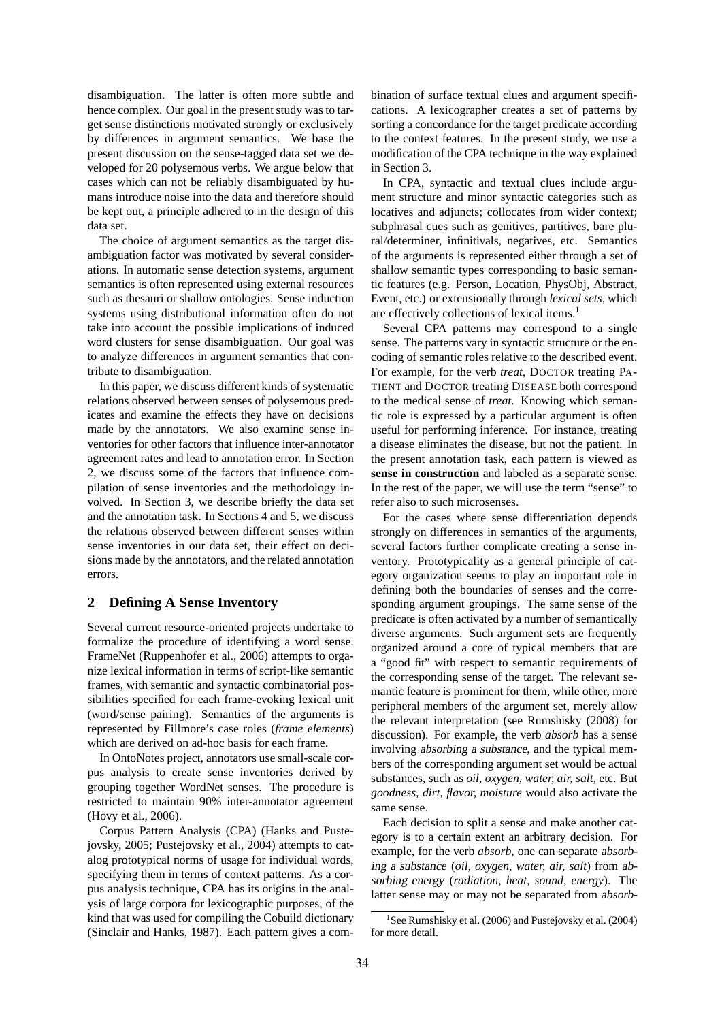disambiguation. The latter is often more subtle and hence complex. Our goal in the present study was to target sense distinctions motivated strongly or exclusively by differences in argument semantics. We base the present discussion on the sense-tagged data set we developed for 20 polysemous verbs. We argue below that cases which can not be reliably disambiguated by humans introduce noise into the data and therefore should be kept out, a principle adhered to in the design of this data set.

The choice of argument semantics as the target disambiguation factor was motivated by several considerations. In automatic sense detection systems, argument semantics is often represented using external resources such as thesauri or shallow ontologies. Sense induction systems using distributional information often do not take into account the possible implications of induced word clusters for sense disambiguation. Our goal was to analyze differences in argument semantics that contribute to disambiguation.

In this paper, we discuss different kinds of systematic relations observed between senses of polysemous predicates and examine the effects they have on decisions made by the annotators. We also examine sense inventories for other factors that influence inter-annotator agreement rates and lead to annotation error. In Section 2, we discuss some of the factors that influence compilation of sense inventories and the methodology involved. In Section 3, we describe briefly the data set and the annotation task. In Sections 4 and 5, we discuss the relations observed between different senses within sense inventories in our data set, their effect on decisions made by the annotators, and the related annotation errors.

# **2 Defining A Sense Inventory**

Several current resource-oriented projects undertake to formalize the procedure of identifying a word sense. FrameNet (Ruppenhofer et al., 2006) attempts to organize lexical information in terms of script-like semantic frames, with semantic and syntactic combinatorial possibilities specified for each frame-evoking lexical unit (word/sense pairing). Semantics of the arguments is represented by Fillmore's case roles (*frame elements*) which are derived on ad-hoc basis for each frame.

In OntoNotes project, annotators use small-scale corpus analysis to create sense inventories derived by grouping together WordNet senses. The procedure is restricted to maintain 90% inter-annotator agreement (Hovy et al., 2006).

Corpus Pattern Analysis (CPA) (Hanks and Pustejovsky, 2005; Pustejovsky et al., 2004) attempts to catalog prototypical norms of usage for individual words, specifying them in terms of context patterns. As a corpus analysis technique, CPA has its origins in the analysis of large corpora for lexicographic purposes, of the kind that was used for compiling the Cobuild dictionary (Sinclair and Hanks, 1987). Each pattern gives a combination of surface textual clues and argument specifications. A lexicographer creates a set of patterns by sorting a concordance for the target predicate according to the context features. In the present study, we use a modification of the CPA technique in the way explained in Section 3.

In CPA, syntactic and textual clues include argument structure and minor syntactic categories such as locatives and adjuncts; collocates from wider context; subphrasal cues such as genitives, partitives, bare plural/determiner, infinitivals, negatives, etc. Semantics of the arguments is represented either through a set of shallow semantic types corresponding to basic semantic features (e.g. Person, Location, PhysObj, Abstract, Event, etc.) or extensionally through *lexical sets*, which are effectively collections of lexical items.<sup>1</sup>

Several CPA patterns may correspond to a single sense. The patterns vary in syntactic structure or the encoding of semantic roles relative to the described event. For example, for the verb *treat*, DOCTOR treating PA-TIENT and DOCTOR treating DISEASE both correspond to the medical sense of *treat*. Knowing which semantic role is expressed by a particular argument is often useful for performing inference. For instance, treating a disease eliminates the disease, but not the patient. In the present annotation task, each pattern is viewed as **sense in construction** and labeled as a separate sense. In the rest of the paper, we will use the term "sense" to refer also to such microsenses.

For the cases where sense differentiation depends strongly on differences in semantics of the arguments, several factors further complicate creating a sense inventory. Prototypicality as a general principle of category organization seems to play an important role in defining both the boundaries of senses and the corresponding argument groupings. The same sense of the predicate is often activated by a number of semantically diverse arguments. Such argument sets are frequently organized around a core of typical members that are a "good fit" with respect to semantic requirements of the corresponding sense of the target. The relevant semantic feature is prominent for them, while other, more peripheral members of the argument set, merely allow the relevant interpretation (see Rumshisky (2008) for discussion). For example, the verb *absorb* has a sense involving absorbing <sup>a</sup> substance, and the typical members of the corresponding argument set would be actual substances, such as *oil, oxygen, water, air, salt*, etc. But *goodness, dirt, flavor, moisture* would also activate the same sense.

Each decision to split a sense and make another category is to a certain extent an arbitrary decision. For example, for the verb *absorb*, one can separate absorbing <sup>a</sup> substance (*oil, oxygen, water, air, salt*) from absorbing energy (*radiation, heat, sound, energy*). The latter sense may or may not be separated from absorb-

<sup>&</sup>lt;sup>1</sup>See Rumshisky et al. (2006) and Pustejovsky et al. (2004) for more detail.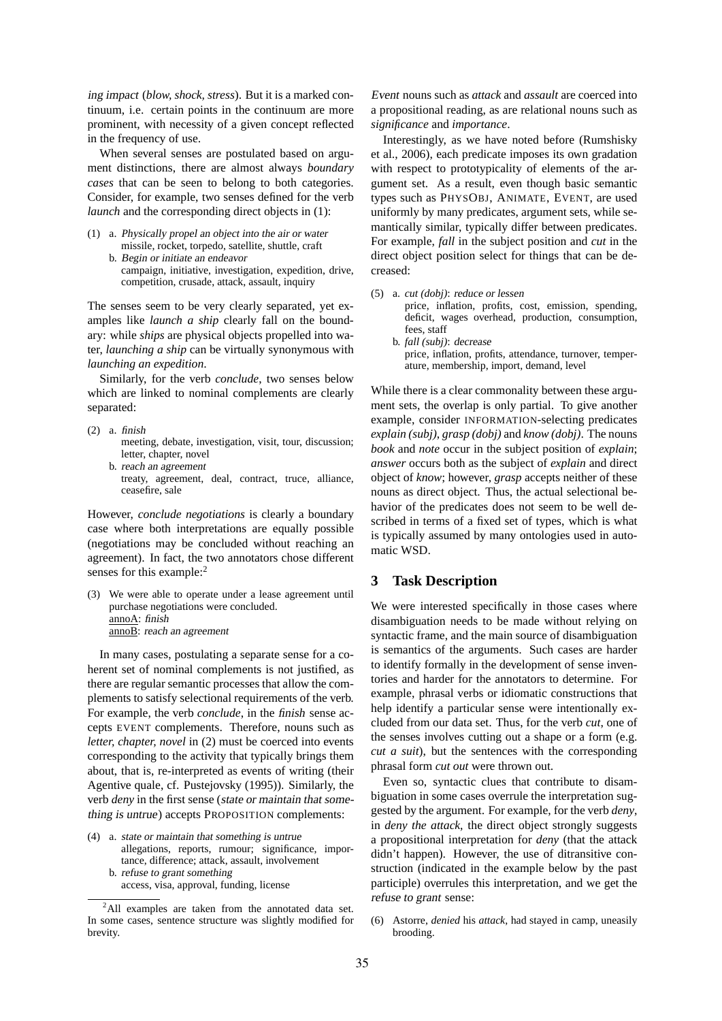ing impact (*blow, shock, stress*). But it is a marked continuum, i.e. certain points in the continuum are more prominent, with necessity of a given concept reflected in the frequency of use.

When several senses are postulated based on argument distinctions, there are almost always *boundary cases* that can be seen to belong to both categories. Consider, for example, two senses defined for the verb *launch* and the corresponding direct objects in (1):

- (1) a. Physically propel an object into the air or water missile, rocket, torpedo, satellite, shuttle, craft
	- b. Begin or initiate an endeavor campaign, initiative, investigation, expedition, drive, competition, crusade, attack, assault, inquiry

The senses seem to be very clearly separated, yet examples like *launch a ship* clearly fall on the boundary: while *ships* are physical objects propelled into water, *launching a ship* can be virtually synonymous with *launching an expedition*.

Similarly, for the verb *conclude*, two senses below which are linked to nominal complements are clearly separated:

- (2) a. finish meeting, debate, investigation, visit, tour, discussion; letter, chapter, novel
	- b. reach an agreement treaty, agreement, deal, contract, truce, alliance, ceasefire, sale

However, *conclude negotiations* is clearly a boundary case where both interpretations are equally possible (negotiations may be concluded without reaching an agreement). In fact, the two annotators chose different senses for this example:<sup>2</sup>

(3) We were able to operate under a lease agreement until purchase negotiations were concluded. annoA: finish annoB: reach an agreement

In many cases, postulating a separate sense for a coherent set of nominal complements is not justified, as there are regular semantic processes that allow the complements to satisfy selectional requirements of the verb. For example, the verb *conclude*, in the finish sense accepts EVENT complements. Therefore, nouns such as *letter, chapter, novel* in (2) must be coerced into events corresponding to the activity that typically brings them about, that is, re-interpreted as events of writing (their Agentive quale, cf. Pustejovsky (1995)). Similarly, the verb *deny* in the first sense (state or maintain that something is untrue) accepts PROPOSITION complements:

(4) a. state or maintain that something is untrue

- allegations, reports, rumour; significance, importance, difference; attack, assault, involvement
- b. refuse to grant something access, visa, approval, funding, license

Event nouns such as *attack* and *assault* are coerced into a propositional reading, as are relational nouns such as *significance* and *importance*.

Interestingly, as we have noted before (Rumshisky et al., 2006), each predicate imposes its own gradation with respect to prototypicality of elements of the argument set. As a result, even though basic semantic types such as PHYSOBJ, ANIMATE, EVENT, are used uniformly by many predicates, argument sets, while semantically similar, typically differ between predicates. For example, *fall* in the subject position and *cut* in the direct object position select for things that can be decreased:

- (5) a. *cut (dobj)*: reduce or lessen
	- price, inflation, profits, cost, emission, spending, deficit, wages overhead, production, consumption, fees, staff
	- b. *fall (subj)*: decrease price, inflation, profits, attendance, turnover, temperature, membership, import, demand, level

While there is a clear commonality between these argument sets, the overlap is only partial. To give another example, consider INFORMATION-selecting predicates *explain (subj)*, *grasp (dobj)* and *know (dobj)*. The nouns *book* and *note* occur in the subject position of *explain*; *answer* occurs both as the subject of *explain* and direct object of *know*; however, *grasp* accepts neither of these nouns as direct object. Thus, the actual selectional behavior of the predicates does not seem to be well described in terms of a fixed set of types, which is what is typically assumed by many ontologies used in automatic WSD.

# **3 Task Description**

We were interested specifically in those cases where disambiguation needs to be made without relying on syntactic frame, and the main source of disambiguation is semantics of the arguments. Such cases are harder to identify formally in the development of sense inventories and harder for the annotators to determine. For example, phrasal verbs or idiomatic constructions that help identify a particular sense were intentionally excluded from our data set. Thus, for the verb *cut*, one of the senses involves cutting out a shape or a form (e.g. *cut a suit*), but the sentences with the corresponding phrasal form *cut out* were thrown out.

Even so, syntactic clues that contribute to disambiguation in some cases overrule the interpretation suggested by the argument. For example, for the verb *deny*, in *deny the attack*, the direct object strongly suggests a propositional interpretation for *deny* (that the attack didn't happen). However, the use of ditransitive construction (indicated in the example below by the past participle) overrules this interpretation, and we get the refuse to grant sense:

(6) Astorre, *denied* his *attack*, had stayed in camp, uneasily brooding.

 $^{2}$ All examples are taken from the annotated data set. In some cases, sentence structure was slightly modified for brevity.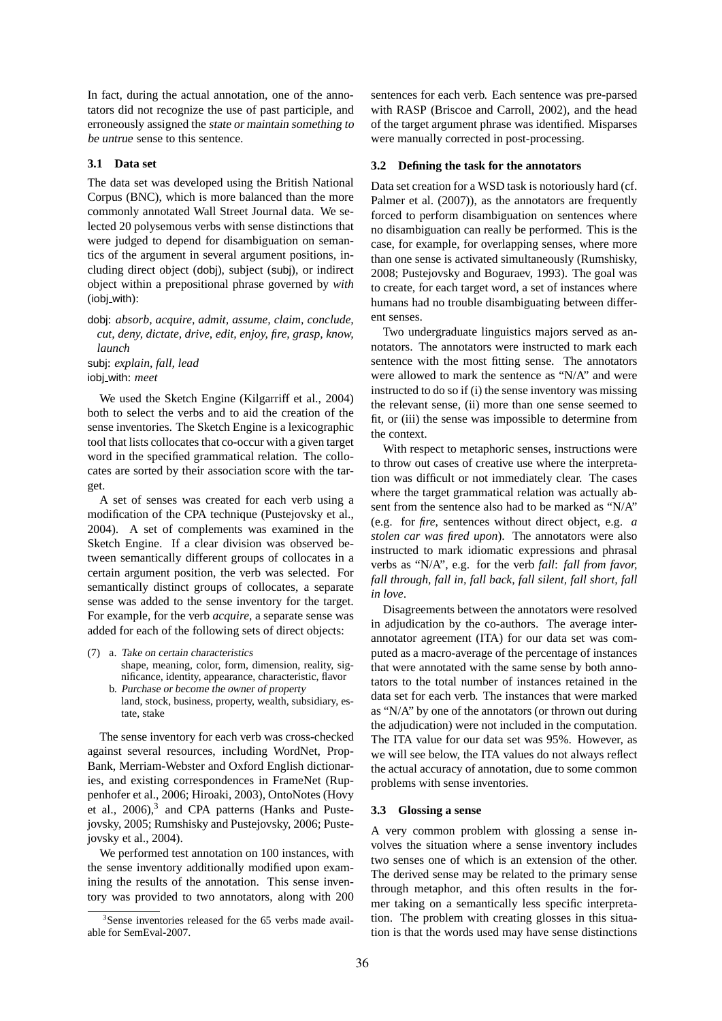In fact, during the actual annotation, one of the annotators did not recognize the use of past participle, and erroneously assigned the state or maintain something to be untrue sense to this sentence.

#### **3.1 Data set**

The data set was developed using the British National Corpus (BNC), which is more balanced than the more commonly annotated Wall Street Journal data. We selected 20 polysemous verbs with sense distinctions that were judged to depend for disambiguation on semantics of the argument in several argument positions, including direct object (dobj), subject (subj), or indirect object within a prepositional phrase governed by *with* (iobj with):

dobj: *absorb, acquire, admit, assume, claim, conclude, cut, deny, dictate, drive, edit, enjoy, fire, grasp, know, launch*

subj: *explain, fall, lead* iobj with: *meet*

We used the Sketch Engine (Kilgarriff et al., 2004) both to select the verbs and to aid the creation of the sense inventories. The Sketch Engine is a lexicographic tool that lists collocates that co-occur with a given target word in the specified grammatical relation. The collocates are sorted by their association score with the target.

A set of senses was created for each verb using a modification of the CPA technique (Pustejovsky et al., 2004). A set of complements was examined in the Sketch Engine. If a clear division was observed between semantically different groups of collocates in a certain argument position, the verb was selected. For semantically distinct groups of collocates, a separate sense was added to the sense inventory for the target. For example, for the verb *acquire*, a separate sense was added for each of the following sets of direct objects:

- (7) a. Take on certain characteristics shape, meaning, color, form, dimension, reality, significance, identity, appearance, characteristic, flavor
	- b. Purchase or become the owner of property land, stock, business, property, wealth, subsidiary, estate, stake

The sense inventory for each verb was cross-checked against several resources, including WordNet, Prop-Bank, Merriam-Webster and Oxford English dictionaries, and existing correspondences in FrameNet (Ruppenhofer et al., 2006; Hiroaki, 2003), OntoNotes (Hovy et al., 2006),<sup>3</sup> and CPA patterns (Hanks and Pustejovsky, 2005; Rumshisky and Pustejovsky, 2006; Pustejovsky et al., 2004).

We performed test annotation on 100 instances, with the sense inventory additionally modified upon examining the results of the annotation. This sense inventory was provided to two annotators, along with 200 sentences for each verb. Each sentence was pre-parsed with RASP (Briscoe and Carroll, 2002), and the head of the target argument phrase was identified. Misparses were manually corrected in post-processing.

#### **3.2 Defining the task for the annotators**

Data set creation for a WSD task is notoriously hard (cf. Palmer et al. (2007)), as the annotators are frequently forced to perform disambiguation on sentences where no disambiguation can really be performed. This is the case, for example, for overlapping senses, where more than one sense is activated simultaneously (Rumshisky, 2008; Pustejovsky and Boguraev, 1993). The goal was to create, for each target word, a set of instances where humans had no trouble disambiguating between different senses.

Two undergraduate linguistics majors served as annotators. The annotators were instructed to mark each sentence with the most fitting sense. The annotators were allowed to mark the sentence as "N/A" and were instructed to do so if (i) the sense inventory was missing the relevant sense, (ii) more than one sense seemed to fit, or (iii) the sense was impossible to determine from the context.

With respect to metaphoric senses, instructions were to throw out cases of creative use where the interpretation was difficult or not immediately clear. The cases where the target grammatical relation was actually absent from the sentence also had to be marked as "N/A" (e.g. for *fire*, sentences without direct object, e.g. *a stolen car was fired upon*). The annotators were also instructed to mark idiomatic expressions and phrasal verbs as "N/A", e.g. for the verb *fall*: *fall from favor, fall through, fall in, fall back, fall silent, fall short, fall in love*.

Disagreements between the annotators were resolved in adjudication by the co-authors. The average interannotator agreement (ITA) for our data set was computed as a macro-average of the percentage of instances that were annotated with the same sense by both annotators to the total number of instances retained in the data set for each verb. The instances that were marked as "N/A" by one of the annotators (or thrown out during the adjudication) were not included in the computation. The ITA value for our data set was 95%. However, as we will see below, the ITA values do not always reflect the actual accuracy of annotation, due to some common problems with sense inventories.

### **3.3 Glossing a sense**

A very common problem with glossing a sense involves the situation where a sense inventory includes two senses one of which is an extension of the other. The derived sense may be related to the primary sense through metaphor, and this often results in the former taking on a semantically less specific interpretation. The problem with creating glosses in this situation is that the words used may have sense distinctions

<sup>3</sup> Sense inventories released for the 65 verbs made available for SemEval-2007.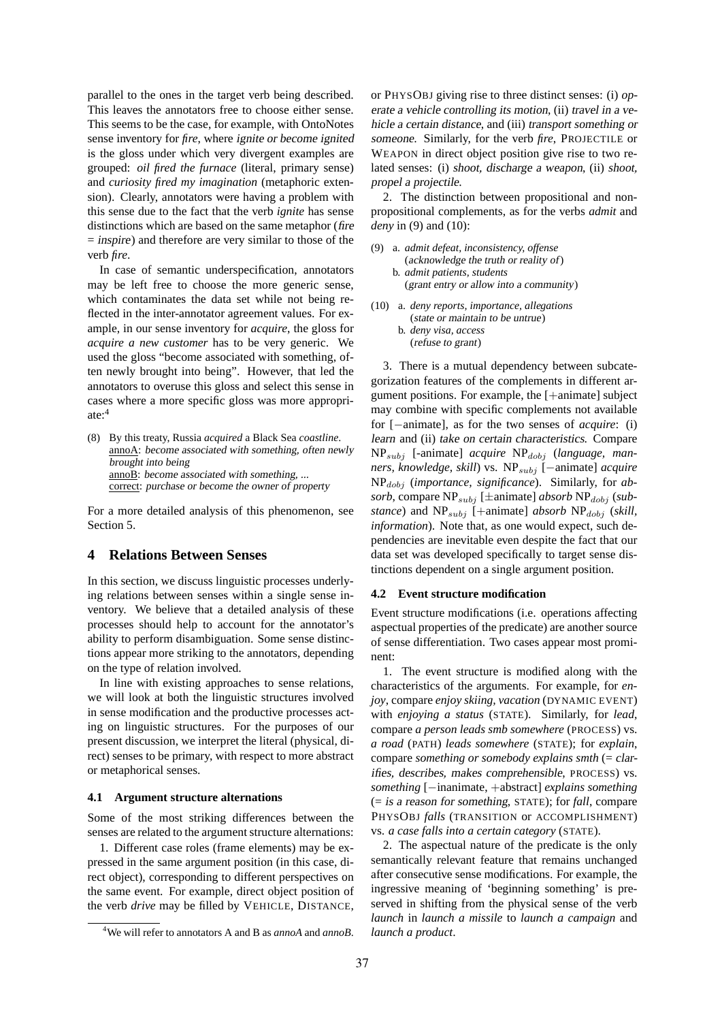parallel to the ones in the target verb being described. This leaves the annotators free to choose either sense. This seems to be the case, for example, with OntoNotes sense inventory for *fire*, where ignite or become ignited is the gloss under which very divergent examples are grouped: *oil fired the furnace* (literal, primary sense) and *curiosity fired my imagination* (metaphoric extension). Clearly, annotators were having a problem with this sense due to the fact that the verb *ignite* has sense distinctions which are based on the same metaphor (fire = inspire) and therefore are very similar to those of the verb *fire*.

In case of semantic underspecification, annotators may be left free to choose the more generic sense, which contaminates the data set while not being reflected in the inter-annotator agreement values. For example, in our sense inventory for *acquire*, the gloss for *acquire a new customer* has to be very generic. We used the gloss "become associated with something, often newly brought into being". However, that led the annotators to overuse this gloss and select this sense in cases where a more specific gloss was more appropriate:<sup>4</sup>

(8) By this treaty, Russia *acquired* a Black Sea *coastline*. annoA: become associated with something, often newly brought into being annoB: become associated with something, ... correct: purchase or become the owner of property

For a more detailed analysis of this phenomenon, see Section 5.

### **4 Relations Between Senses**

In this section, we discuss linguistic processes underlying relations between senses within a single sense inventory. We believe that a detailed analysis of these processes should help to account for the annotator's ability to perform disambiguation. Some sense distinctions appear more striking to the annotators, depending on the type of relation involved.

In line with existing approaches to sense relations, we will look at both the linguistic structures involved in sense modification and the productive processes acting on linguistic structures. For the purposes of our present discussion, we interpret the literal (physical, direct) senses to be primary, with respect to more abstract or metaphorical senses.

#### **4.1 Argument structure alternations**

Some of the most striking differences between the senses are related to the argument structure alternations:

1. Different case roles (frame elements) may be expressed in the same argument position (in this case, direct object), corresponding to different perspectives on the same event. For example, direct object position of the verb *drive* may be filled by VEHICLE, DISTANCE,

or PHYSOBJ giving rise to three distinct senses: (i) operate <sup>a</sup> vehicle controlling its motion, (ii) travel in <sup>a</sup> vehicle <sup>a</sup> certain distance, and (iii) transport something or someone. Similarly, for the verb *fire*, PROJECTILE or WEAPON in direct object position give rise to two related senses: (i) shoot, discharge <sup>a</sup> weapon, (ii) shoot, propel <sup>a</sup> projectile.

2. The distinction between propositional and nonpropositional complements, as for the verbs *admit* and *deny* in (9) and (10):

- (9) a. *admit defeat, inconsistency, offense* (acknowledge the truth or reality of) b. *admit patients, students* (grant entry or allow into <sup>a</sup> community)
- (10) a. *deny reports, importance, allegations* (state or maintain to be untrue) b. *deny visa, access* (refuse to grant)

3. There is a mutual dependency between subcategorization features of the complements in different argument positions. For example, the [+animate] subject may combine with specific complements not available for [−animate], as for the two senses of *acquire*: (i) learn and (ii) take on certain characteristics. Compare  $NP_{subj}$  [-animate] *acquire*  $NP_{dobj}$  (language, man*ners, knowledge, skill*) vs. NP<sub>subj</sub> [−animate] *acquire* NPdobj (*importance, significance*). Similarly, for *ab* $sorb$ , compare  $NP_{subj}$  [ $\pm$ animate] *absorb*  $NP_{dobj}$  (*substance*) and  $NP_{subj}$  [+animate] *absorb*  $NP_{dobj}$  (*skill, information*). Note that, as one would expect, such dependencies are inevitable even despite the fact that our data set was developed specifically to target sense distinctions dependent on a single argument position.

#### **4.2 Event structure modification**

Event structure modifications (i.e. operations affecting aspectual properties of the predicate) are another source of sense differentiation. Two cases appear most prominent:

1. The event structure is modified along with the characteristics of the arguments. For example, for *enjoy*, compare *enjoy skiing, vacation* (DYNAMIC EVENT) with *enjoying a status* (STATE). Similarly, for *lead*, compare *a person leads smb somewhere* (PROCESS) vs. *a road* (PATH) *leads somewhere* (STATE); for *explain*, compare *something or somebody explains smth* (= clarifies, describes, makes comprehensible, PROCESS) vs. *something* [−inanimate, +abstract] *explains something* (= is <sup>a</sup> reason for something, STATE); for *fall*, compare PHYSOBJ *falls* (TRANSITION or ACCOMPLISHMENT) vs. *a case falls into a certain category* (STATE).

2. The aspectual nature of the predicate is the only semantically relevant feature that remains unchanged after consecutive sense modifications. For example, the ingressive meaning of 'beginning something' is preserved in shifting from the physical sense of the verb *launch* in *launch a missile* to *launch a campaign* and *launch a product*.

<sup>4</sup>We will refer to annotators A and B as *annoA* and *annoB*.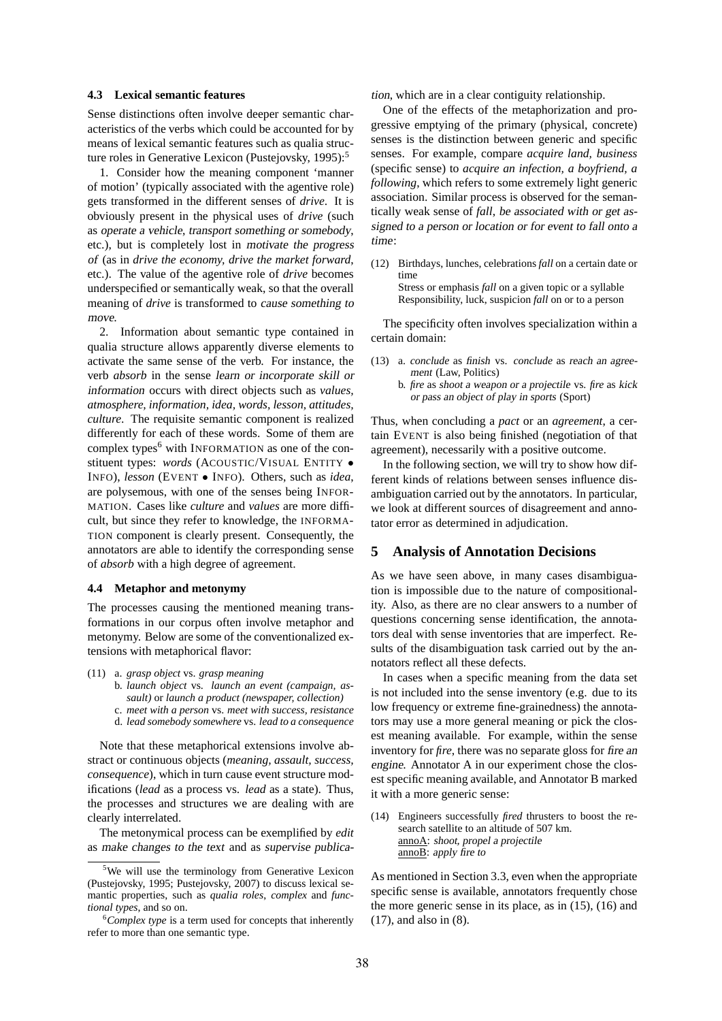#### **4.3 Lexical semantic features**

Sense distinctions often involve deeper semantic characteristics of the verbs which could be accounted for by means of lexical semantic features such as qualia structure roles in Generative Lexicon (Pustejovsky, 1995):<sup>5</sup>

1. Consider how the meaning component 'manner of motion' (typically associated with the agentive role) gets transformed in the different senses of *drive*. It is obviously present in the physical uses of *drive* (such as operate <sup>a</sup> vehicle, transport something or somebody, etc.), but is completely lost in motivate the progress of (as in *drive the economy, drive the market forward*, etc.). The value of the agentive role of *drive* becomes underspecified or semantically weak, so that the overall meaning of *drive* is transformed to cause something to move.

2. Information about semantic type contained in qualia structure allows apparently diverse elements to activate the same sense of the verb. For instance, the verb *absorb* in the sense learn or incorporate skill or information occurs with direct objects such as *values, atmosphere, information, idea, words, lesson, attitudes, culture*. The requisite semantic component is realized differently for each of these words. Some of them are complex types $<sup>6</sup>$  with INFORMATION as one of the con-</sup> stituent types: *words* (ACOUSTIC/VISUAL ENTITY • INFO), *lesson* (EVENT • INFO). Others, such as *idea*, are polysemous, with one of the senses being INFOR-MATION. Cases like *culture* and *values* are more difficult, but since they refer to knowledge, the INFORMA-TION component is clearly present. Consequently, the annotators are able to identify the corresponding sense of *absorb* with a high degree of agreement.

#### **4.4 Metaphor and metonymy**

The processes causing the mentioned meaning transformations in our corpus often involve metaphor and metonymy. Below are some of the conventionalized extensions with metaphorical flavor:

- (11) a. *grasp object* vs. *grasp meaning* b. *launch object* vs. *launch an event (campaign, assault)* or *launch a product (newspaper, collection)*
	- c. *meet with a person* vs. *meet with success, resistance*
	- d. *lead somebody somewhere* vs. *lead to a consequence*

Note that these metaphorical extensions involve abstract or continuous objects (*meaning, assault, success, consequence*), which in turn cause event structure modifications (*lead* as a process vs. *lead* as a state). Thus, the processes and structures we are dealing with are clearly interrelated.

The metonymical process can be exemplified by *edit* as make changes to the text and as supervise publication, which are in a clear contiguity relationship.

One of the effects of the metaphorization and progressive emptying of the primary (physical, concrete) senses is the distinction between generic and specific senses. For example, compare *acquire land, business* (specific sense) to *acquire an infection, a boyfriend, a following*, which refers to some extremely light generic association. Similar process is observed for the semantically weak sense of *fall*, be associated with or get assigned to <sup>a</sup> person or location or for event to fall onto <sup>a</sup> time:

(12) Birthdays, lunches, celebrations *fall* on a certain date or time Stress or emphasis *fall* on a given topic or a syllable Responsibility, luck, suspicion *fall* on or to a person

The specificity often involves specialization within a certain domain:

- (13) a. *conclude* as finish vs. *conclude* as reach an agreement (Law, Politics)
	- b. *fire* as shoot <sup>a</sup> weapon or <sup>a</sup> projectile vs. *fire* as kick or pass an object of play in sports (Sport)

Thus, when concluding a *pact* or an *agreement*, a certain EVENT is also being finished (negotiation of that agreement), necessarily with a positive outcome.

In the following section, we will try to show how different kinds of relations between senses influence disambiguation carried out by the annotators. In particular, we look at different sources of disagreement and annotator error as determined in adjudication.

# **5 Analysis of Annotation Decisions**

As we have seen above, in many cases disambiguation is impossible due to the nature of compositionality. Also, as there are no clear answers to a number of questions concerning sense identification, the annotators deal with sense inventories that are imperfect. Results of the disambiguation task carried out by the annotators reflect all these defects.

In cases when a specific meaning from the data set is not included into the sense inventory (e.g. due to its low frequency or extreme fine-grainedness) the annotators may use a more general meaning or pick the closest meaning available. For example, within the sense inventory for *fire*, there was no separate gloss for fire an engine. Annotator A in our experiment chose the closest specific meaning available, and Annotator B marked it with a more generic sense:

(14) Engineers successfully *fired* thrusters to boost the research satellite to an altitude of 507 km. annoA: shoot, propel <sup>a</sup> projectile anno**B**: apply fire to

As mentioned in Section 3.3, even when the appropriate specific sense is available, annotators frequently chose the more generic sense in its place, as in (15), (16) and (17), and also in (8).

<sup>&</sup>lt;sup>5</sup>We will use the terminology from Generative Lexicon (Pustejovsky, 1995; Pustejovsky, 2007) to discuss lexical semantic properties, such as *qualia roles*, *complex* and *functional types*, and so on.

<sup>6</sup>*Complex type* is a term used for concepts that inherently refer to more than one semantic type.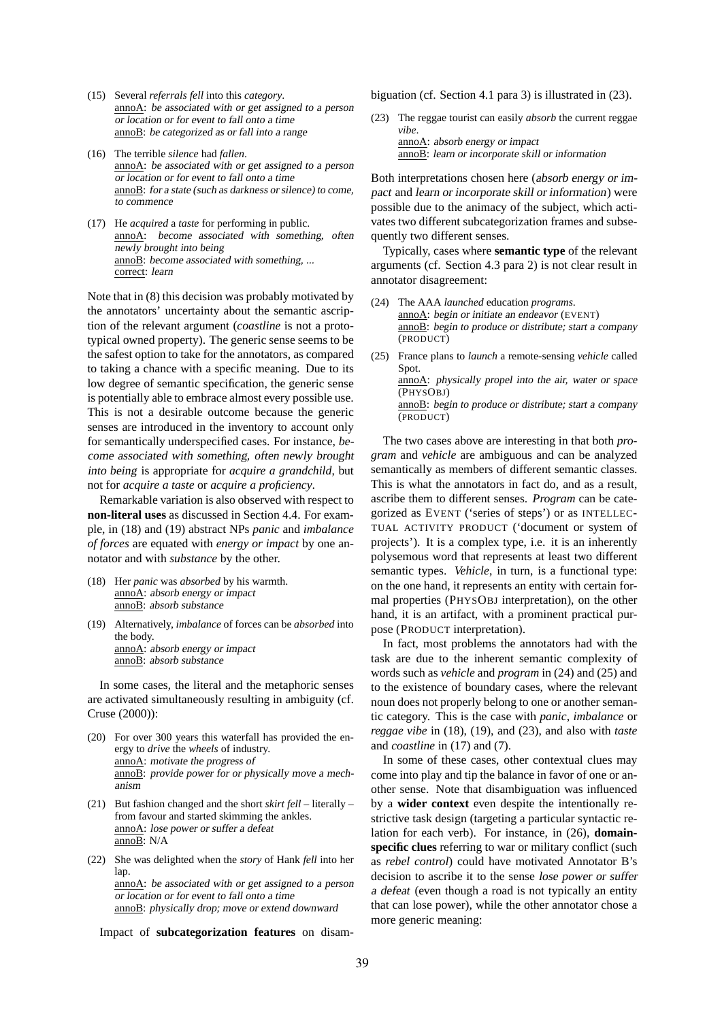- (15) Several *referrals fell* into this *category*. annoA: be associated with or get assigned to <sup>a</sup> person or location or for event to fall onto <sup>a</sup> time annoB: be categorized as or fall into <sup>a</sup> range
- (16) The terrible *silence* had *fallen*. annoA: be associated with or get assigned to <sup>a</sup> person or location or for event to fall onto <sup>a</sup> time annoB: for <sup>a</sup> state (such as darkness or silence) to come, to commence
- (17) He *acquired* a *taste* for performing in public. annoA: become associated with something, often newly brought into being annoB: become associated with something, ... correct: learn

Note that in (8) this decision was probably motivated by the annotators' uncertainty about the semantic ascription of the relevant argument (*coastline* is not a prototypical owned property). The generic sense seems to be the safest option to take for the annotators, as compared to taking a chance with a specific meaning. Due to its low degree of semantic specification, the generic sense is potentially able to embrace almost every possible use. This is not a desirable outcome because the generic senses are introduced in the inventory to account only for semantically underspecified cases. For instance, become associated with something, often newly brought into being is appropriate for *acquire a grandchild*, but not for *acquire a taste* or *acquire a proficiency*.

Remarkable variation is also observed with respect to **non-literal uses** as discussed in Section 4.4. For example, in (18) and (19) abstract NPs *panic* and *imbalance of forces* are equated with *energy or impact* by one annotator and with *substance* by the other.

- (18) Her *panic* was *absorbed* by his warmth. annoA: absorb energy or impact annoB: absorb substance
- (19) Alternatively, *imbalance* of forces can be *absorbed* into the body. annoA: absorb energy or impact annoB: absorb substance

In some cases, the literal and the metaphoric senses are activated simultaneously resulting in ambiguity (cf. Cruse (2000)):

- (20) For over 300 years this waterfall has provided the energy to *drive* the *wheels* of industry. annoA: motivate the progress of annoB: provide power for or physically move <sup>a</sup> mechanism
- (21) But fashion changed and the short *skirt fell* literally from favour and started skimming the ankles. annoA: lose power or suffer <sup>a</sup> defeat annoB: N/A
- (22) She was delighted when the *story* of Hank *fell* into her lap. annoA: be associated with or get assigned to <sup>a</sup> person or location or for event to fall onto <sup>a</sup> time annoB: physically drop; move or extend downward

Impact of **subcategorization features** on disam-

biguation (cf. Section 4.1 para 3) is illustrated in (23).

(23) The reggae tourist can easily *absorb* the current reggae *vibe*. annoA: absorb energy or impact

annoB: learn or incorporate skill or information

Both interpretations chosen here (absorb energy or impact and learn or incorporate skill or information) were possible due to the animacy of the subject, which activates two different subcategorization frames and subsequently two different senses.

Typically, cases where **semantic type** of the relevant arguments (cf. Section 4.3 para 2) is not clear result in annotator disagreement:

- (24) The AAA *launched* education *programs*. annoA: begin or initiate an endeavor (EVENT) annoB: begin to produce or distribute; start <sup>a</sup> company (PRODUCT)
- (25) France plans to *launch* a remote-sensing *vehicle* called Spot. annoA: physically propel into the air, water or space (PHYSOBJ) annoB: begin to produce or distribute; start <sup>a</sup> company (PRODUCT)

The two cases above are interesting in that both *program* and *vehicle* are ambiguous and can be analyzed semantically as members of different semantic classes. This is what the annotators in fact do, and as a result, ascribe them to different senses. *Program* can be categorized as EVENT ('series of steps') or as INTELLEC-TUAL ACTIVITY PRODUCT ('document or system of projects'). It is a complex type, i.e. it is an inherently polysemous word that represents at least two different semantic types. *Vehicle*, in turn, is a functional type: on the one hand, it represents an entity with certain formal properties (PHYSOBJ interpretation), on the other hand, it is an artifact, with a prominent practical purpose (PRODUCT interpretation).

In fact, most problems the annotators had with the task are due to the inherent semantic complexity of words such as *vehicle* and *program* in (24) and (25) and to the existence of boundary cases, where the relevant noun does not properly belong to one or another semantic category. This is the case with *panic*, *imbalance* or *reggae vibe* in (18), (19), and (23), and also with *taste* and *coastline* in (17) and (7).

In some of these cases, other contextual clues may come into play and tip the balance in favor of one or another sense. Note that disambiguation was influenced by a **wider context** even despite the intentionally restrictive task design (targeting a particular syntactic relation for each verb). For instance, in (26), **domainspecific clues** referring to war or military conflict (such as *rebel control*) could have motivated Annotator B's decision to ascribe it to the sense lose power or suffer <sup>a</sup> defeat (even though a road is not typically an entity that can lose power), while the other annotator chose a more generic meaning: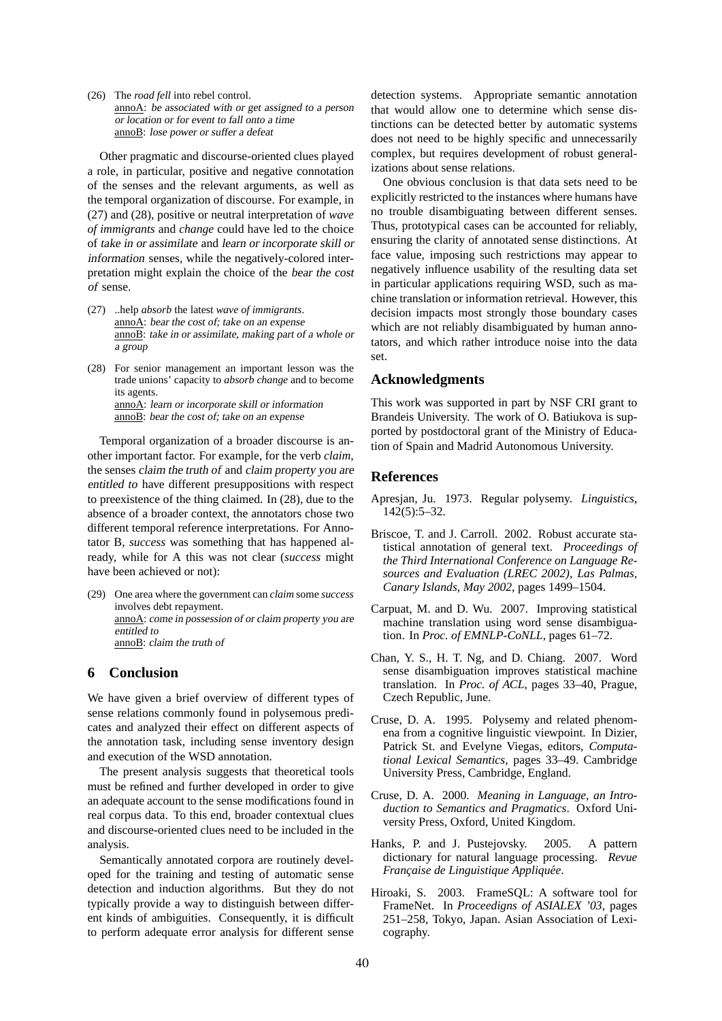(26) The *road fell* into rebel control. annoA: be associated with or get assigned to <sup>a</sup> person or location or for event to fall onto <sup>a</sup> time annoB: lose power or suffer <sup>a</sup> defeat

Other pragmatic and discourse-oriented clues played a role, in particular, positive and negative connotation of the senses and the relevant arguments, as well as the temporal organization of discourse. For example, in (27) and (28), positive or neutral interpretation of *wave of immigrants* and *change* could have led to the choice of take in or assimilate and learn or incorporate skill or information senses, while the negatively-colored interpretation might explain the choice of the bear the cost of sense.

- (27) ..help *absorb* the latest *wave of immigrants*. annoA: bear the cost of; take on an expense annoB: take in or assimilate, making part of <sup>a</sup> whole or <sup>a</sup> group
- (28) For senior management an important lesson was the trade unions' capacity to *absorb change* and to become its agents. annoA: learn or incorporate skill or information annoB: bear the cost of; take on an expense

Temporal organization of a broader discourse is another important factor. For example, for the verb *claim*, the senses claim the truth of and claim property you are entitled to have different presuppositions with respect to preexistence of the thing claimed. In (28), due to the absence of a broader context, the annotators chose two different temporal reference interpretations. For Annotator B, *success* was something that has happened already, while for A this was not clear (*success* might have been achieved or not):

(29) One area where the government can *claim* some *success* involves debt repayment. annoA: come in possession of or claim property you are entitled to annoB: claim the truth of

## **6 Conclusion**

We have given a brief overview of different types of sense relations commonly found in polysemous predicates and analyzed their effect on different aspects of the annotation task, including sense inventory design and execution of the WSD annotation.

The present analysis suggests that theoretical tools must be refined and further developed in order to give an adequate account to the sense modifications found in real corpus data. To this end, broader contextual clues and discourse-oriented clues need to be included in the analysis.

Semantically annotated corpora are routinely developed for the training and testing of automatic sense detection and induction algorithms. But they do not typically provide a way to distinguish between different kinds of ambiguities. Consequently, it is difficult to perform adequate error analysis for different sense detection systems. Appropriate semantic annotation that would allow one to determine which sense distinctions can be detected better by automatic systems does not need to be highly specific and unnecessarily complex, but requires development of robust generalizations about sense relations.

One obvious conclusion is that data sets need to be explicitly restricted to the instances where humans have no trouble disambiguating between different senses. Thus, prototypical cases can be accounted for reliably, ensuring the clarity of annotated sense distinctions. At face value, imposing such restrictions may appear to negatively influence usability of the resulting data set in particular applications requiring WSD, such as machine translation or information retrieval. However, this decision impacts most strongly those boundary cases which are not reliably disambiguated by human annotators, and which rather introduce noise into the data set.

### **Acknowledgments**

This work was supported in part by NSF CRI grant to Brandeis University. The work of O. Batiukova is supported by postdoctoral grant of the Ministry of Education of Spain and Madrid Autonomous University.

### **References**

- Apresjan, Ju. 1973. Regular polysemy. *Linguistics*,  $142(5):5-32.$
- Briscoe, T. and J. Carroll. 2002. Robust accurate statistical annotation of general text. *Proceedings of the Third International Conference on Language Resources and Evaluation (LREC 2002), Las Palmas, Canary Islands, May 2002*, pages 1499–1504.
- Carpuat, M. and D. Wu. 2007. Improving statistical machine translation using word sense disambiguation. In *Proc. of EMNLP-CoNLL*, pages 61–72.
- Chan, Y. S., H. T. Ng, and D. Chiang. 2007. Word sense disambiguation improves statistical machine translation. In *Proc. of ACL*, pages 33–40, Prague, Czech Republic, June.
- Cruse, D. A. 1995. Polysemy and related phenomena from a cognitive linguistic viewpoint. In Dizier, Patrick St. and Evelyne Viegas, editors, *Computational Lexical Semantics*, pages 33–49. Cambridge University Press, Cambridge, England.
- Cruse, D. A. 2000. *Meaning in Language, an Introduction to Semantics and Pragmatics*. Oxford University Press, Oxford, United Kingdom.
- Hanks, P. and J. Pustejovsky. 2005. A pattern dictionary for natural language processing. *Revue*  $Francaise de Linguistique Applique.$
- Hiroaki, S. 2003. FrameSQL: A software tool for FrameNet. In *Proceedigns of ASIALEX '03*, pages 251–258, Tokyo, Japan. Asian Association of Lexicography.